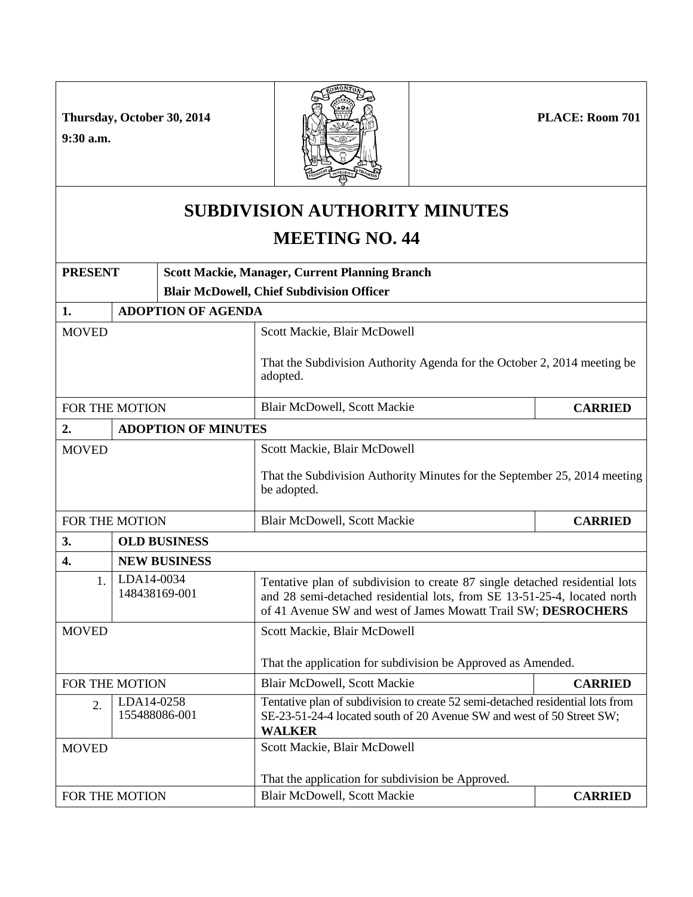**PLACE: Room 701**

**Thursday, October 30, 2014**

**9:30 a.m.**



## **SUBDIVISION AUTHORITY MINUTES MEETING NO. 44**

| <b>PRESENT</b>   |                             | <b>Scott Mackie, Manager, Current Planning Branch</b> |                                                                                                                                                                                                                          |                |  |  |  |
|------------------|-----------------------------|-------------------------------------------------------|--------------------------------------------------------------------------------------------------------------------------------------------------------------------------------------------------------------------------|----------------|--|--|--|
|                  |                             |                                                       | <b>Blair McDowell, Chief Subdivision Officer</b>                                                                                                                                                                         |                |  |  |  |
| 1.               |                             | <b>ADOPTION OF AGENDA</b>                             |                                                                                                                                                                                                                          |                |  |  |  |
| <b>MOVED</b>     |                             |                                                       | Scott Mackie, Blair McDowell                                                                                                                                                                                             |                |  |  |  |
|                  |                             |                                                       | That the Subdivision Authority Agenda for the October 2, 2014 meeting be<br>adopted.                                                                                                                                     |                |  |  |  |
| FOR THE MOTION   |                             |                                                       | <b>Blair McDowell, Scott Mackie</b>                                                                                                                                                                                      | <b>CARRIED</b> |  |  |  |
| 2.               | <b>ADOPTION OF MINUTES</b>  |                                                       |                                                                                                                                                                                                                          |                |  |  |  |
| <b>MOVED</b>     |                             |                                                       | Scott Mackie, Blair McDowell                                                                                                                                                                                             |                |  |  |  |
|                  |                             |                                                       | That the Subdivision Authority Minutes for the September 25, 2014 meeting<br>be adopted.                                                                                                                                 |                |  |  |  |
| FOR THE MOTION   |                             |                                                       | <b>Blair McDowell, Scott Mackie</b>                                                                                                                                                                                      | <b>CARRIED</b> |  |  |  |
| 3.               | <b>OLD BUSINESS</b>         |                                                       |                                                                                                                                                                                                                          |                |  |  |  |
| 4.               |                             | <b>NEW BUSINESS</b>                                   |                                                                                                                                                                                                                          |                |  |  |  |
| 1.               | LDA14-0034<br>148438169-001 |                                                       | Tentative plan of subdivision to create 87 single detached residential lots<br>and 28 semi-detached residential lots, from SE 13-51-25-4, located north<br>of 41 Avenue SW and west of James Mowatt Trail SW; DESROCHERS |                |  |  |  |
| <b>MOVED</b>     |                             |                                                       | Scott Mackie, Blair McDowell                                                                                                                                                                                             |                |  |  |  |
|                  |                             |                                                       | That the application for subdivision be Approved as Amended.                                                                                                                                                             |                |  |  |  |
| FOR THE MOTION   |                             |                                                       | <b>Blair McDowell, Scott Mackie</b>                                                                                                                                                                                      | <b>CARRIED</b> |  |  |  |
| $\overline{2}$ . | LDA14-0258                  | 155488086-001                                         | Tentative plan of subdivision to create 52 semi-detached residential lots from<br>SE-23-51-24-4 located south of 20 Avenue SW and west of 50 Street SW;<br><b>WALKER</b>                                                 |                |  |  |  |
| <b>MOVED</b>     |                             |                                                       | Scott Mackie, Blair McDowell                                                                                                                                                                                             |                |  |  |  |
|                  |                             |                                                       | That the application for subdivision be Approved.                                                                                                                                                                        |                |  |  |  |
| FOR THE MOTION   |                             |                                                       | <b>Blair McDowell, Scott Mackie</b>                                                                                                                                                                                      | <b>CARRIED</b> |  |  |  |
|                  |                             |                                                       |                                                                                                                                                                                                                          |                |  |  |  |